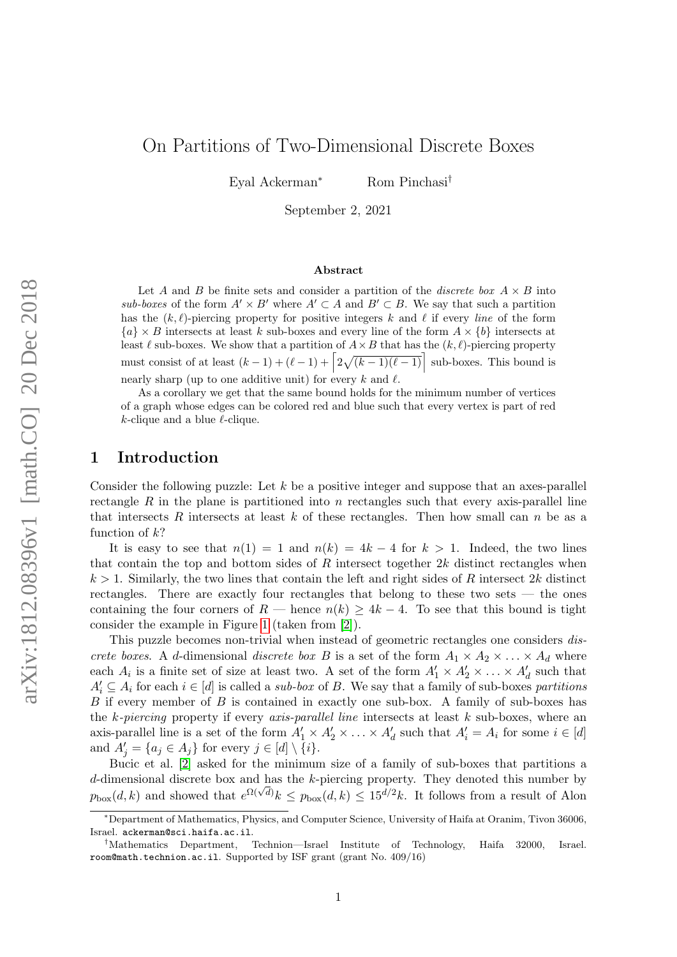# On Partitions of Two-Dimensional Discrete Boxes

Eyal Ackerman<sup>∗</sup> Rom Pinchasi†

September 2, 2021

#### Abstract

Let A and B be finite sets and consider a partition of the *discrete box*  $A \times B$  into sub-boxes of the form  $A' \times B'$  where  $A' \subset A$  and  $B' \subset B$ . We say that such a partition has the  $(k, \ell)$ -piercing property for positive integers k and  $\ell$  if every line of the form  ${a} \times B$  intersects at least k sub-boxes and every line of the form  $A \times \{b\}$  intersects at least  $\ell$  sub-boxes. We show that a partition of  $A \times B$  that has the  $(k, \ell)$ -piercing property must consist of at least  $(k-1) + (\ell - 1) + \left[2\sqrt{(k-1)(\ell-1)}\right]$  sub-boxes. This bound is nearly sharp (up to one additive unit) for every k and  $\ell$ .

As a corollary we get that the same bound holds for the minimum number of vertices of a graph whose edges can be colored red and blue such that every vertex is part of red  $k$ -clique and a blue  $\ell$ -clique.

### 1 Introduction

Consider the following puzzle: Let  $k$  be a positive integer and suppose that an axes-parallel rectangle R in the plane is partitioned into n rectangles such that every axis-parallel line that intersects R intersects at least k of these rectangles. Then how small can  $n$  be as a function of  $k$ ?

It is easy to see that  $n(1) = 1$  and  $n(k) = 4k - 4$  for  $k > 1$ . Indeed, the two lines that contain the top and bottom sides of R intersect together  $2k$  distinct rectangles when  $k > 1$ . Similarly, the two lines that contain the left and right sides of R intersect 2k distinct rectangles. There are exactly four rectangles that belong to these two sets — the ones containing the four corners of R — hence  $n(k) \geq 4k - 4$ . To see that this bound is tight consider the example in Figure [1](#page-1-0) (taken from [\[2\]](#page-9-0)).

This puzzle becomes non-trivial when instead of geometric rectangles one considers discrete boxes. A d-dimensional discrete box B is a set of the form  $A_1 \times A_2 \times \ldots \times A_d$  where each  $A_i$  is a finite set of size at least two. A set of the form  $A'_1 \times A'_2 \times \ldots \times A'_d$  such that  $A'_i \subseteq A_i$  for each  $i \in [d]$  is called a *sub-box* of B. We say that a family of sub-boxes partitions  $B$  if every member of  $B$  is contained in exactly one sub-box. A family of sub-boxes has the k-piercing property if every axis-parallel line intersects at least  $k$  sub-boxes, where an axis-parallel line is a set of the form  $A'_1 \times A'_2 \times \ldots \times A'_d$  such that  $A'_i = A_i$  for some  $i \in [d]$ and  $A'_{j} = \{a_{j} \in A_{j}\}\$ for every  $j \in [d] \setminus \{i\}.$ 

Bucic et al. [\[2\]](#page-9-0) asked for the minimum size of a family of sub-boxes that partitions a  $d$ -dimensional discrete box and has the  $k$ -piercing property. They denoted this number by  $p_{\text{box}}(d,k)$  and showed that  $e^{\Omega(\sqrt{d})}k \leq p_{\text{box}}(d,k) \leq 15^{d/2}k$ . It follows from a result of Alon

<sup>∗</sup>Department of Mathematics, Physics, and Computer Science, University of Haifa at Oranim, Tivon 36006, Israel. ackerman@sci.haifa.ac.il.

<sup>†</sup>Mathematics Department, Technion—Israel Institute of Technology, Haifa 32000, Israel. room@math.technion.ac.il. Supported by ISF grant (grant No. 409/16)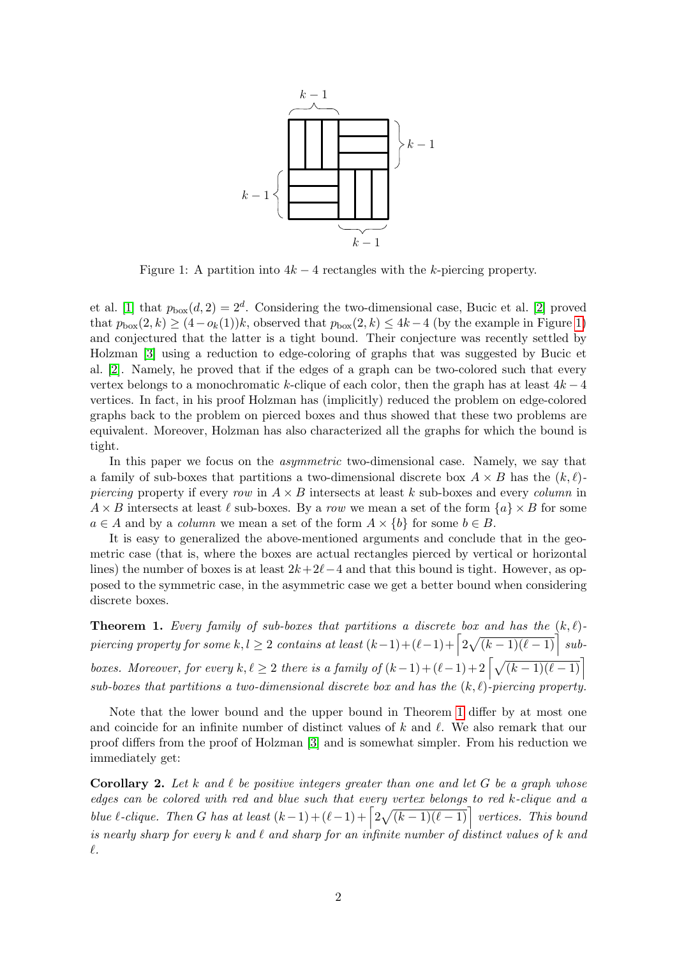

<span id="page-1-0"></span>Figure 1: A partition into  $4k - 4$  rectangles with the k-piercing property.

et al. [\[1\]](#page-9-1) that  $p_{\text{box}}(d, 2) = 2^d$ . Considering the two-dimensional case, Bucic et al. [\[2\]](#page-9-0) proved that  $p_{\text{box}}(2, k) \geq (4 - o_k(1))k$ , observed that  $p_{\text{box}}(2, k) \leq 4k - 4$  (by the example in Figure [1\)](#page-1-0) and conjectured that the latter is a tight bound. Their conjecture was recently settled by Holzman [\[3\]](#page-9-2) using a reduction to edge-coloring of graphs that was suggested by Bucic et al. [\[2\]](#page-9-0). Namely, he proved that if the edges of a graph can be two-colored such that every vertex belongs to a monochromatic k-clique of each color, then the graph has at least  $4k - 4$ vertices. In fact, in his proof Holzman has (implicitly) reduced the problem on edge-colored graphs back to the problem on pierced boxes and thus showed that these two problems are equivalent. Moreover, Holzman has also characterized all the graphs for which the bound is tight.

In this paper we focus on the asymmetric two-dimensional case. Namely, we say that a family of sub-boxes that partitions a two-dimensional discrete box  $A \times B$  has the  $(k, \ell)$ piercing property if every row in  $A \times B$  intersects at least k sub-boxes and every column in  $A \times B$  intersects at least  $\ell$  sub-boxes. By a row we mean a set of the form  $\{a\} \times B$  for some  $a \in A$  and by a *column* we mean a set of the form  $A \times \{b\}$  for some  $b \in B$ .

It is easy to generalized the above-mentioned arguments and conclude that in the geometric case (that is, where the boxes are actual rectangles pierced by vertical or horizontal lines) the number of boxes is at least  $2k+2\ell-4$  and that this bound is tight. However, as opposed to the symmetric case, in the asymmetric case we get a better bound when considering discrete boxes.

<span id="page-1-1"></span>**Theorem 1.** Every family of sub-boxes that partitions a discrete box and has the  $(k, \ell)$ - $\emph{pierung property for some $k,l\geq 2$ contains at least $(k-1)+(\ell-1)+\left\lceil 2\sqrt{(k-1)(\ell-1)}\right\rceil$ sub-}$ boxes. Moreover, for every  $k, \ell \geq 2$  there is a family of  $(k-1)+(\ell-1)+ 2\left\lceil \sqrt{(k-1)(\ell-1)}\right\rceil$ sub-boxes that partitions a two-dimensional discrete box and has the  $(k, \ell)$ -piercing property.

Note that the lower bound and the upper bound in Theorem [1](#page-1-1) differ by at most one and coincide for an infinite number of distinct values of  $k$  and  $\ell$ . We also remark that our proof differs from the proof of Holzman [\[3\]](#page-9-2) and is somewhat simpler. From his reduction we immediately get:

**Corollary 2.** Let k and  $\ell$  be positive integers greater than one and let G be a graph whose edges can be colored with red and blue such that every vertex belongs to red k-clique and a blue  $\ell$ -clique. Then G has at least  $(k-1)+(\ell-1)+\left\lceil 2\sqrt{(k-1)(\ell-1)}\right\rceil$  vertices. This bound is nearly sharp for every k and  $\ell$  and sharp for an infinite number of distinct values of k and  $\ell$ .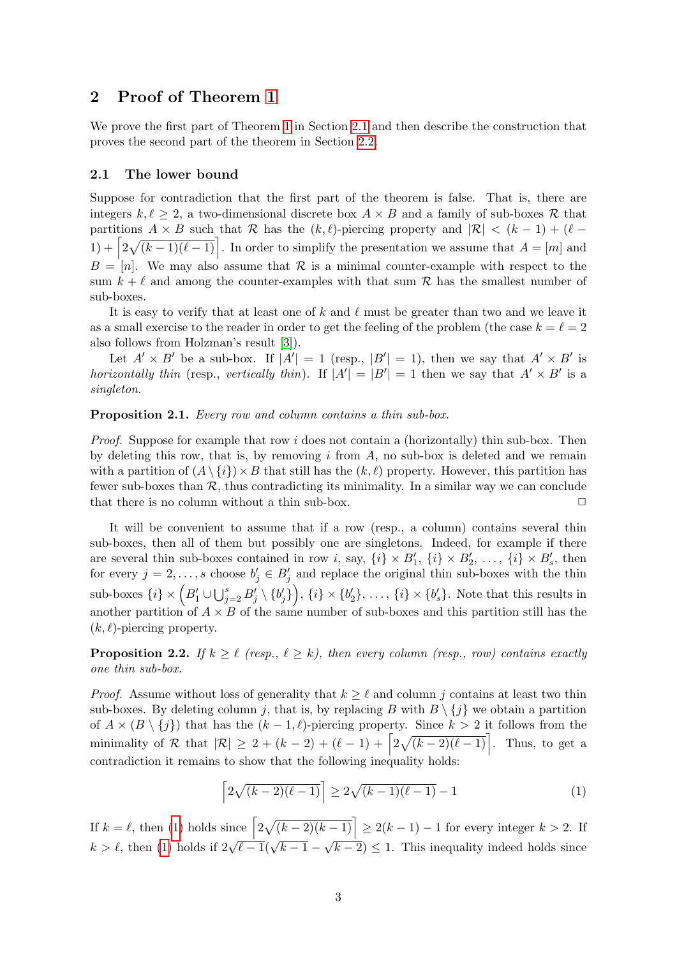### 2 Proof of Theorem [1](#page-1-1)

We prove the first part of Theorem [1](#page-1-1) in Section [2.1](#page-2-0) and then describe the construction that proves the second part of the theorem in Section [2.2.](#page-5-0)

#### <span id="page-2-0"></span>2.1 The lower bound

Suppose for contradiction that the first part of the theorem is false. That is, there are integers  $k, \ell > 2$ , a two-dimensional discrete box  $A \times B$  and a family of sub-boxes R that partitions A × B such that R has the  $(k, \ell)$ -piercing property and  $|\mathcal{R}| < (k - 1) + (\ell 1) + \left[2\sqrt{(k-1)(\ell-1)}\right]$ . In order to simplify the presentation we assume that  $A = [m]$  and  $B = [n]$ . We may also assume that R is a minimal counter-example with respect to the sum  $k + \ell$  and among the counter-examples with that sum R has the smallest number of sub-boxes.

It is easy to verify that at least one of k and  $\ell$  must be greater than two and we leave it as a small exercise to the reader in order to get the feeling of the problem (the case  $k = \ell = 2$ also follows from Holzman's result [\[3\]](#page-9-2)).

Let  $A' \times B'$  be a sub-box. If  $|A'| = 1$  (resp.,  $|B'| = 1$ ), then we say that  $A' \times B'$  is horizontally thin (resp., vertically thin). If  $|A'| = |B'| = 1$  then we say that  $A' \times B'$  is a singleton.

#### Proposition 2.1. Every row and column contains a thin sub-box.

*Proof.* Suppose for example that row i does not contain a (horizontally) thin sub-box. Then by deleting this row, that is, by removing  $i$  from  $A$ , no sub-box is deleted and we remain with a partition of  $(A \setminus \{i\}) \times B$  that still has the  $(k, \ell)$  property. However, this partition has fewer sub-boxes than  $R$ , thus contradicting its minimality. In a similar way we can conclude that there is no column without a thin sub-box. that there is no column without a thin sub-box.

It will be convenient to assume that if a row (resp., a column) contains several thin sub-boxes, then all of them but possibly one are singletons. Indeed, for example if there are several thin sub-boxes contained in row *i*, say,  $\{i\} \times B'_1$ ,  $\{i\} \times B'_2$ , ...,  $\{i\} \times B'_s$ , then for every  $j = 2, \ldots, s$  choose  $b'_j \in B'_j$  and replace the original thin sub-boxes with the thin  $\text{sub-boxes }\{i\}\times\Big(B_1'\cup\bigcup_{j=2}^sB_j'\setminus\{b_j'\}\Big),\,\{i\}\times\{b_2'\},\,\ldots,\,\{i\}\times\{b_s'\}.$  Note that this results in another partition of  $A \times B$  of the same number of sub-boxes and this partition still has the  $(k, \ell)$ -piercing property.

<span id="page-2-2"></span>**Proposition 2.2.** If  $k \geq \ell$  (resp.,  $\ell \geq k$ ), then every column (resp., row) contains exactly one thin sub-box.

*Proof.* Assume without loss of generality that  $k > \ell$  and column j contains at least two thin sub-boxes. By deleting column j, that is, by replacing B with  $B \setminus \{j\}$  we obtain a partition of  $A \times (B \setminus \{j\})$  that has the  $(k - 1, \ell)$ -piercing property. Since  $k > 2$  it follows from the minimality of R that  $|\mathcal{R}| \geq 2 + (k - 2) + (\ell - 1) + \left[2\sqrt{(k - 2)(\ell - 1)}\right]$ . Thus, to get a contradiction it remains to show that the following inequality holds:

<span id="page-2-1"></span>
$$
\left[2\sqrt{(k-2)(\ell-1)}\right] \ge 2\sqrt{(k-1)(\ell-1)} - 1\tag{1}
$$

If  $k = \ell$ , then [\(1\)](#page-2-1) holds since  $\left[2\sqrt{(k-2)(k-1)}\right] \ge 2(k-1) - 1$  for every integer  $k > 2$ . If  $k > \ell$ , then [\(1\)](#page-2-1) holds if  $2\sqrt{\ell-1}(\sqrt{k-1} - \sqrt{k-2}) \leq 1$ . This inequality indeed holds since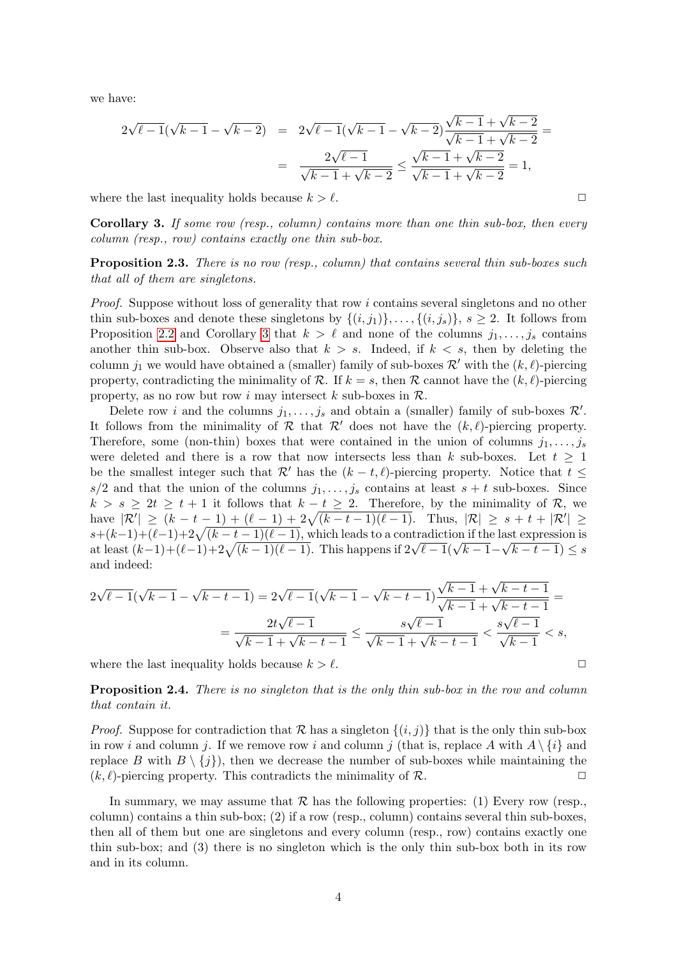we have:

<span id="page-3-1"></span>
$$
2\sqrt{\ell-1}(\sqrt{k-1} - \sqrt{k-2}) = 2\sqrt{\ell-1}(\sqrt{k-1} - \sqrt{k-2})\frac{\sqrt{k-1} + \sqrt{k-2}}{\sqrt{k-1} + \sqrt{k-2}} =
$$
  
= 
$$
\frac{2\sqrt{\ell-1}}{\sqrt{k-1} + \sqrt{k-2}} \le \frac{\sqrt{k-1} + \sqrt{k-2}}{\sqrt{k-1} + \sqrt{k-2}} = 1,
$$

where the last inequality holds because  $k > \ell$ .

<span id="page-3-0"></span>Corollary 3. If some row (resp., column) contains more than one thin sub-box, then every column (resp., row) contains exactly one thin sub-box.

**Proposition 2.3.** There is no row (resp., column) that contains several thin sub-boxes such that all of them are singletons.

Proof. Suppose without loss of generality that row i contains several singletons and no other thin sub-boxes and denote these singletons by  $\{(i,j_1)\},\ldots,\{(i,j_s)\}, s\geq 2$ . It follows from Proposition [2.2](#page-2-2) and Corollary [3](#page-3-0) that  $k > \ell$  and none of the columns  $j_1, \ldots, j_s$  contains another thin sub-box. Observe also that  $k > s$ . Indeed, if  $k < s$ , then by deleting the column  $j_1$  we would have obtained a (smaller) family of sub-boxes  $\mathcal{R}'$  with the  $(k, \ell)$ -piercing property, contradicting the minimality of R. If  $k = s$ , then R cannot have the  $(k, \ell)$ -piercing property, as no row but row i may intersect k sub-boxes in  $\mathcal{R}$ .

Delete row *i* and the columns  $j_1, \ldots, j_s$  and obtain a (smaller) family of sub-boxes  $\mathcal{R}'$ . It follows from the minimality of  $\mathcal R$  that  $\mathcal R'$  does not have the  $(k, \ell)$ -piercing property. Therefore, some (non-thin) boxes that were contained in the union of columns  $j_1, \ldots, j_s$ were deleted and there is a row that now intersects less than k sub-boxes. Let  $t \geq 1$ be the smallest integer such that  $\mathcal{R}'$  has the  $(k - t, \ell)$ -piercing property. Notice that  $t \leq$  $s/2$  and that the union of the columns  $j_1, \ldots, j_s$  contains at least  $s + t$  sub-boxes. Since  $k > s \geq 2t \geq t + 1$  it follows that  $k - t \geq 2$ . Therefore, by the minimality of R, we have  $|\mathcal{R}'| \geq (k-t-1) + (\ell-1) + 2\sqrt{(k-t-1)(\ell-1)}$ . Thus,  $|\mathcal{R}| \geq s+t+|\mathcal{R}'| \geq$  $s+(k-1)+(\ell-1)+2\sqrt{(k-t-1)(\ell-1)}$ , which leads to a contradiction if the last expression is at least  $(k-1)+(\ell-1)+2\sqrt{(k-1)(\ell-1)}$ . This happens if  $2\sqrt{\ell-1}(\sqrt{k-1}-\sqrt{k-t-1}) \leq s$ and indeed:

$$
2\sqrt{\ell-1}(\sqrt{k-1} - \sqrt{k-t-1}) = 2\sqrt{\ell-1}(\sqrt{k-1} - \sqrt{k-t-1})\frac{\sqrt{k-1} + \sqrt{k-t-1}}{\sqrt{k-1} + \sqrt{k-t-1}} =
$$
  
= 
$$
\frac{2t\sqrt{\ell-1}}{\sqrt{k-1} + \sqrt{k-t-1}} \le \frac{s\sqrt{\ell-1}}{\sqrt{k-1} + \sqrt{k-t-1}} < \frac{s\sqrt{\ell-1}}{\sqrt{k-1}} < s,
$$

where the last inequality holds because  $k > \ell$ .

Proposition 2.4. There is no singleton that is the only thin sub-box in the row and column that contain it.

*Proof.* Suppose for contradiction that  $\mathcal R$  has a singleton  $\{(i, j)\}\$  that is the only thin sub-box in row i and column j. If we remove row i and column j (that is, replace A with  $A \setminus \{i\}$  and replace B with  $B \setminus \{j\}$ , then we decrease the number of sub-boxes while maintaining the  $(k \ell)$ -piercing property. This contradicts the minimality of R  $(k, \ell)$ -piercing property. This contradicts the minimality of R.

In summary, we may assume that  $R$  has the following properties: (1) Every row (resp., column) contains a thin sub-box; (2) if a row (resp., column) contains several thin sub-boxes, then all of them but one are singletons and every column (resp., row) contains exactly one thin sub-box; and (3) there is no singleton which is the only thin sub-box both in its row and in its column.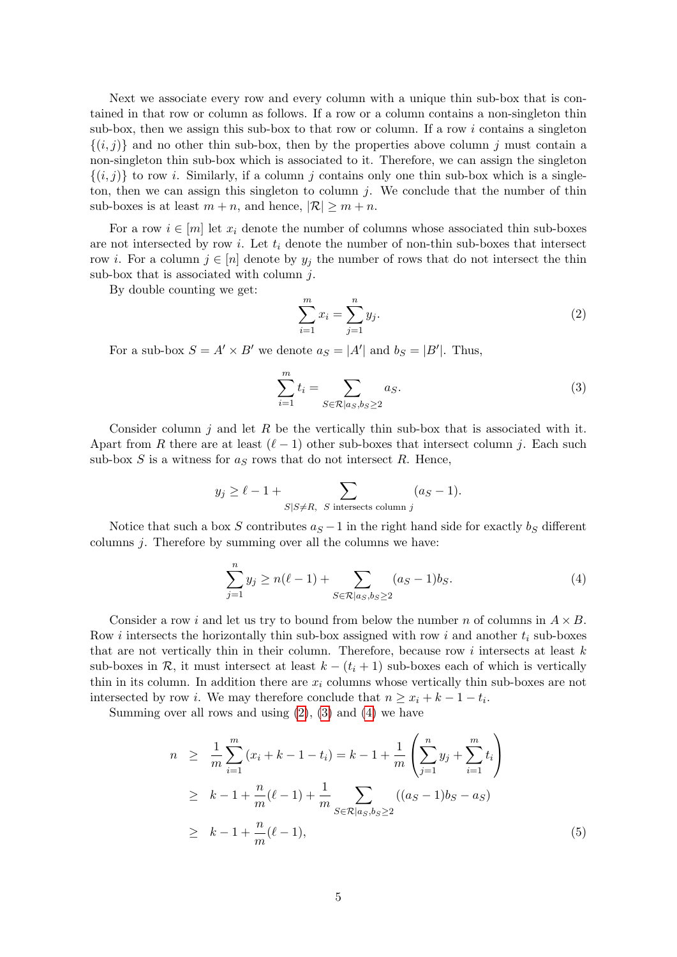Next we associate every row and every column with a unique thin sub-box that is contained in that row or column as follows. If a row or a column contains a non-singleton thin sub-box, then we assign this sub-box to that row or column. If a row  $i$  contains a singleton  $\{(i, j)\}\$ and no other thin sub-box, then by the properties above column j must contain a non-singleton thin sub-box which is associated to it. Therefore, we can assign the singleton  $\{(i, j)\}\$ to row i. Similarly, if a column j contains only one thin sub-box which is a singleton, then we can assign this singleton to column  $j$ . We conclude that the number of thin sub-boxes is at least  $m + n$ , and hence,  $|\mathcal{R}| \geq m + n$ .

For a row  $i \in [m]$  let  $x_i$  denote the number of columns whose associated thin sub-boxes are not intersected by row i. Let  $t_i$  denote the number of non-thin sub-boxes that intersect row *i*. For a column  $j \in [n]$  denote by  $y_j$  the number of rows that do not intersect the thin sub-box that is associated with column  $j$ .

By double counting we get:

$$
\sum_{i=1}^{m} x_i = \sum_{j=1}^{n} y_j.
$$
 (2)

For a sub-box  $S = A' \times B'$  we denote  $a_S = |A'|$  and  $b_S = |B'|$ . Thus,

<span id="page-4-0"></span>
$$
\sum_{i=1}^{m} t_i = \sum_{S \in \mathcal{R} | a_S, b_S \ge 2} a_S.
$$
 (3)

Consider column  $j$  and let  $R$  be the vertically thin sub-box that is associated with it. Apart from R there are at least  $(\ell - 1)$  other sub-boxes that intersect column j. Each such sub-box  $S$  is a witness for  $a<sub>S</sub>$  rows that do not intersect  $R$ . Hence,

$$
y_j \ge \ell - 1 + \sum_{S|S \ne R, S \text{ intersects column } j} (a_S - 1).
$$

Notice that such a box S contributes  $a<sub>S</sub> - 1$  in the right hand side for exactly b<sub>S</sub> different columns j. Therefore by summing over all the columns we have:

<span id="page-4-1"></span>
$$
\sum_{j=1}^{n} y_j \ge n(\ell - 1) + \sum_{S \in \mathcal{R} | a_S, b_S \ge 2} (a_S - 1)b_S.
$$
 (4)

Consider a row i and let us try to bound from below the number n of columns in  $A \times B$ . Row *i* intersects the horizontally thin sub-box assigned with row *i* and another  $t_i$  sub-boxes that are not vertically thin in their column. Therefore, because row  $i$  intersects at least  $k$ sub-boxes in R, it must intersect at least  $k - (t_i + 1)$  sub-boxes each of which is vertically thin in its column. In addition there are  $x_i$  columns whose vertically thin sub-boxes are not intersected by row *i*. We may therefore conclude that  $n \geq x_i + k - 1 - t_i$ .

Summing over all rows and using  $(2)$ ,  $(3)$  and  $(4)$  we have

<span id="page-4-2"></span>
$$
n \geq \frac{1}{m} \sum_{i=1}^{m} (x_i + k - 1 - t_i) = k - 1 + \frac{1}{m} \left( \sum_{j=1}^{n} y_j + \sum_{i=1}^{m} t_i \right)
$$
  
\n
$$
\geq k - 1 + \frac{n}{m} (\ell - 1) + \frac{1}{m} \sum_{S \in \mathcal{R} | a_S, b_S \geq 2} ((a_S - 1)b_S - a_S)
$$
  
\n
$$
\geq k - 1 + \frac{n}{m} (\ell - 1),
$$
 (5)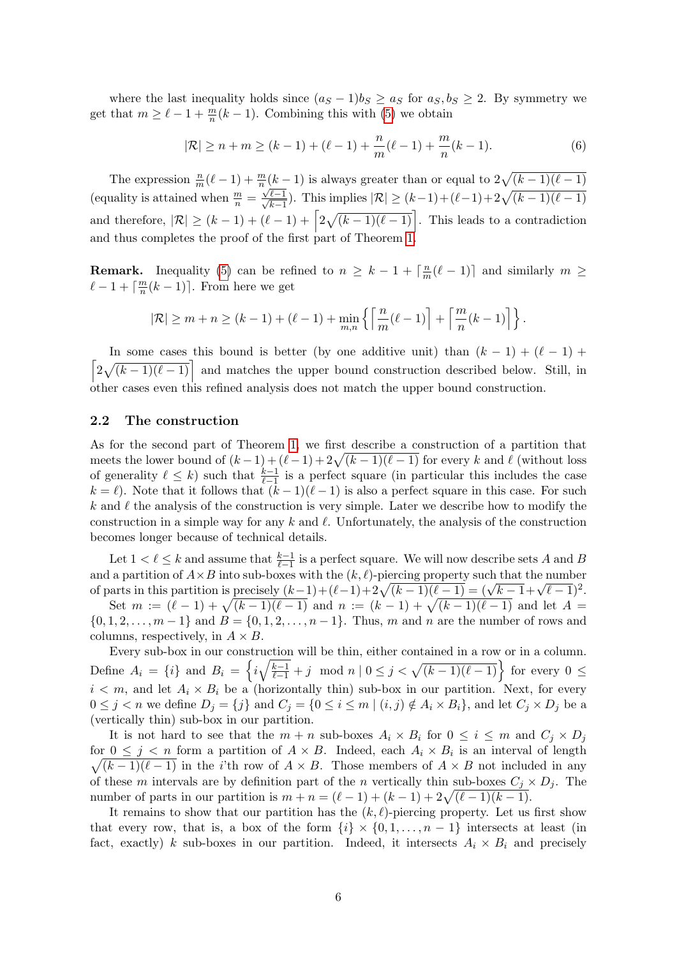where the last inequality holds since  $(a_S - 1)b_S \ge a_S$  for  $a_S, b_S \ge 2$ . By symmetry we get that  $m \geq \ell - 1 + \frac{m}{n}(k - 1)$ . Combining this with [\(5\)](#page-4-2) we obtain

$$
|\mathcal{R}| \ge n + m \ge (k - 1) + (\ell - 1) + \frac{n}{m}(\ell - 1) + \frac{m}{n}(k - 1).
$$
 (6)

The expression  $\frac{n}{m}(\ell-1) + \frac{m}{n}(\underline{k-1})$  is always greater than or equal to  $2\sqrt{(k-1)(\ell-1)}$ (equality is attained when  $\frac{m}{n}$  =  $\iota$  $\sqrt{\ell-1}$  $\frac{\ell-1}{k-1}$ ). This implies  $|\mathcal{R}| \ge (k-1) + (\ell-1)+2\sqrt{(k-1)(\ell-1)}$ and therefore,  $|\mathcal{R}| \geq (k-1) + (\ell - 1) + \left[2\sqrt{(k-1)(\ell-1)}\right]$ . This leads to a contradiction and thus completes the proof of the first part of Theorem [1.](#page-1-1)

**Remark.** Inequality [\(5\)](#page-4-2) can be refined to  $n \geq k - 1 + \lceil \frac{n}{m} \rceil$  $\frac{n}{m}(\ell-1)$  and similarly  $m \geq$  $\ell - 1 + \lceil \frac{m}{n} \rceil$  $\frac{m}{n}(k-1)$ . From here we get

$$
|\mathcal{R}| \geq m+n \geq (k-1)+(\ell-1)+\min_{m,n}\left\{\left\lceil\frac{ n}{m}(\ell-1)\right\rceil+\left\lceil\frac{ m}{n}(k-1)\right\rceil\right\}.
$$

 $\left[2\sqrt{(k-1)(\ell-1)}\right]$  and matches the upper bound construction described below. Still, in In some cases this bound is better (by one additive unit) than  $(k - 1) + (\ell - 1) +$ other cases even this refined analysis does not match the upper bound construction.

### <span id="page-5-0"></span>2.2 The construction

As for the second part of Theorem [1,](#page-1-1) we first describe a construction of a partition that meets the lower bound of  $(k-1) + (l-1) + 2\sqrt{(k-1)(l-1)}$  for every k and  $\ell$  (without loss of generality  $\ell \leq k$ ) such that  $\frac{k-1}{\ell-1}$  is a perfect square (in particular this includes the case  $k = \ell$ ). Note that it follows that  $(k - 1)(\ell - 1)$  is also a perfect square in this case. For such k and  $\ell$  the analysis of the construction is very simple. Later we describe how to modify the construction in a simple way for any k and  $\ell$ . Unfortunately, the analysis of the construction becomes longer because of technical details.

Let  $1 < \ell \leq k$  and assume that  $\frac{k-1}{\ell-1}$  is a perfect square. We will now describe sets A and B and a partition of  $A \times B$  into sub-boxes with the  $(k, \ell)$ -piercing property such that the number of parts in this partition is precisely  $(k-1) + (l-1) + 2\sqrt{(k-1)(l-1)} = (\sqrt{k-1} + \sqrt{l-1})^2$ .

Set  $m := (\ell - 1) + \sqrt{(k - 1)(\ell - 1)}$  and  $n := (k - 1) + \sqrt{(k - 1)(\ell - 1)}$  and let  $A =$  $\{0, 1, 2, \ldots, m-1\}$  and  $B = \{0, 1, 2, \ldots, n-1\}$ . Thus, m and n are the number of rows and columns, respectively, in  $A \times B$ .

Every sub-box in our construction will be thin, either contained in a row or in a column. Define  $A_i = \{i\}$  and  $B_i = \left\{i\sqrt{\frac{k-1}{\ell-1}} + j \mod n \mid 0 \leq j < \sqrt{(k-1)(\ell-1)}\right\}$  for every  $0 \leq$  $i < m$ , and let  $A_i \times B_i$  be a (horizontally thin) sub-box in our partition. Next, for every  $0 \leq j < n$  we define  $D_j = \{j\}$  and  $C_j = \{0 \leq i \leq m \mid (i, j) \notin A_i \times B_i\}$ , and let  $C_j \times D_j$  be a (vertically thin) sub-box in our partition.

It is not hard to see that the  $m + n$  sub-boxes  $A_i \times B_i$  for  $0 \leq i \leq m$  and  $C_i \times D_i$ for  $0 \leq j \leq n$  form a partition of  $A \times B$ . Indeed, each  $A_i \times B_i$  is an interval of length  $\sqrt{(k-1)(\ell-1)}$  in the *i*'th row of  $A \times B$ . Those members of  $A \times B$  not included in any of these m intervals are by definition part of the n vertically thin sub-boxes  $C_i \times D_i$ . The number of parts in our partition is  $m + n = (\ell - 1) + (k - 1) + 2\sqrt{(\ell - 1)(k - 1)}$ .

It remains to show that our partition has the  $(k, \ell)$ -piercing property. Let us first show that every row, that is, a box of the form  $\{i\} \times \{0, 1, \ldots, n-1\}$  intersects at least (in fact, exactly) k sub-boxes in our partition. Indeed, it intersects  $A_i \times B_i$  and precisely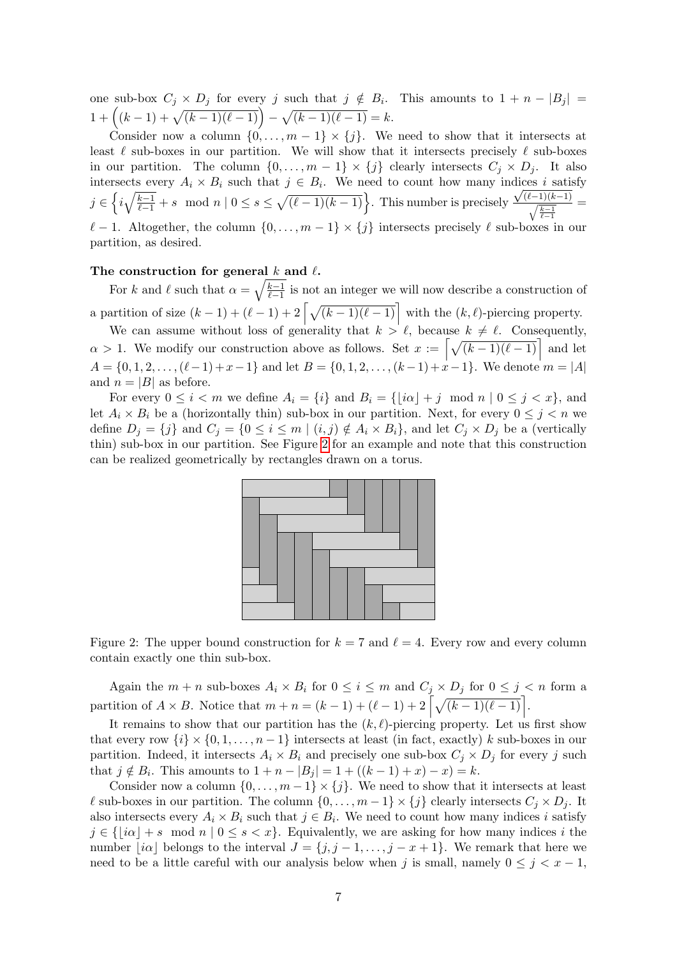one sub-box  $C_j \times D_j$  for every j such that  $j \notin B_i$ . This amounts to  $1 + n - |B_j| =$  $1 + ((k-1) + \sqrt{(k-1)(\ell-1)}) - \sqrt{(k-1)(\ell-1)} = k.$ 

Consider now a column  $\{0, \ldots, m-1\} \times \{i\}$ . We need to show that it intersects at least  $\ell$  sub-boxes in our partition. We will show that it intersects precisely  $\ell$  sub-boxes in our partition. The column  $\{0, \ldots, m-1\} \times \{j\}$  clearly intersects  $C_j \times D_j$ . It also intersects every  $A_i \times B_i$  such that  $j \in B_i$ . We need to count how many indices i satisfy  $j \in \left\{ i\sqrt{\frac{k-1}{\ell-1}}+s \mod n \mid 0 \leq s \leq \sqrt{(\ell-1)(k-1)} \right\}$ . This number is precisely  $\sqrt{(\ell-1)(k-1)}$  $\sqrt{\frac{k-1}{\ell-1}}$ =  $\ell - 1$ . Altogether, the column  $\{0, \ldots, m - 1\} \times \{j\}$  intersects precisely  $\ell$  sub-boxes in our partition, as desired.

#### The construction for general k and  $\ell$ .

For k and  $\ell$  such that  $\alpha = \sqrt{\frac{k-1}{\ell-1}}$  $\frac{k-1}{\ell-1}$  is not an integer we will now describe a construction of a partition of size  $(k-1) + (\ell - 1) + 2 \left[ \sqrt{(k-1)(\ell - 1)} \right]$  with the  $(k, \ell)$ -piercing property.

We can assume without loss of generality that  $k > \ell$ , because  $k \neq \ell$ . Consequently,  $\alpha > 1$ . We modify our construction above as follows. Set  $x := \left[\sqrt{(k-1)(\ell-1)}\right]$  and let  $A = \{0, 1, 2, \ldots, (\ell-1) + x-1\}$  and let  $B = \{0, 1, 2, \ldots, (k-1) + x-1\}$ . We denote  $m = |A|$ and  $n = |B|$  as before.

For every  $0 \leq i < m$  we define  $A_i = \{i\}$  and  $B_i = \{|i\alpha| + j \mod n \mid 0 \leq j < x\}$ , and let  $A_i \times B_i$  be a (horizontally thin) sub-box in our partition. Next, for every  $0 \leq j \leq n$  we define  $D_j = \{j\}$  and  $C_j = \{0 \le i \le m \mid (i, j) \notin A_i \times B_i\}$ , and let  $C_j \times D_j$  be a (vertically thin) sub-box in our partition. See Figure [2](#page-6-0) for an example and note that this construction can be realized geometrically by rectangles drawn on a torus.



<span id="page-6-0"></span>Figure 2: The upper bound construction for  $k = 7$  and  $\ell = 4$ . Every row and every column contain exactly one thin sub-box.

Again the  $m + n$  sub-boxes  $A_i \times B_i$  for  $0 \leq i \leq m$  and  $C_j \times D_j$  for  $0 \leq j \leq n$  form a partition of  $A \times B$ . Notice that  $m + n = (k - 1) + (\ell - 1) + 2 \left[ \sqrt{(k - 1)(\ell - 1)} \right]$ .

It remains to show that our partition has the  $(k, \ell)$ -piercing property. Let us first show that every row  $\{i\} \times \{0, 1, \ldots, n-1\}$  intersects at least (in fact, exactly) k sub-boxes in our partition. Indeed, it intersects  $A_i \times B_i$  and precisely one sub-box  $C_i \times D_i$  for every j such that  $j \notin B_i$ . This amounts to  $1 + n - |B_j| = 1 + ((k - 1) + x) - x = k$ .

Consider now a column  $\{0, \ldots, m-1\} \times \{j\}$ . We need to show that it intersects at least  $\ell$  sub-boxes in our partition. The column  $\{0, \ldots, m-1\} \times \{j\}$  clearly intersects  $C_j \times D_j$ . It also intersects every  $A_i \times B_i$  such that  $j \in B_i$ . We need to count how many indices i satisfy  $j \in \{|i\alpha| + s \mod n \mid 0 \leq s < x\}.$  Equivalently, we are asking for how many indices i the number  $|i\alpha|$  belongs to the interval  $J = \{j, j-1, \ldots, j-x+1\}$ . We remark that here we need to be a little careful with our analysis below when j is small, namely  $0 \leq j \leq x-1$ ,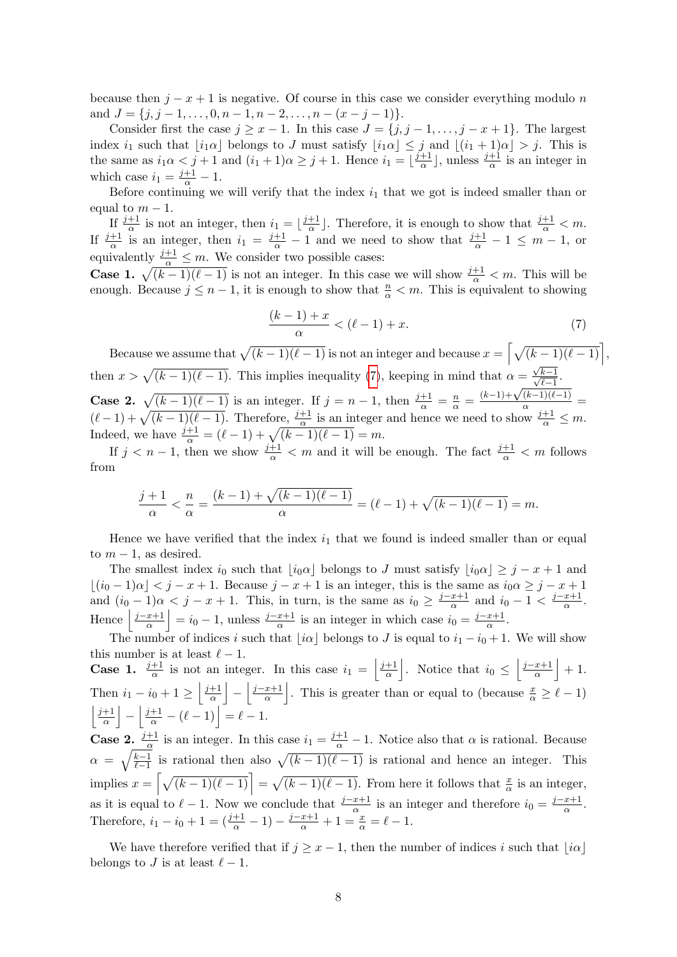because then  $j - x + 1$  is negative. Of course in this case we consider everything modulo n and  $J = \{j, j-1, \ldots, 0, n-1, n-2, \ldots, n-(x-j-1)\}.$ 

Consider first the case  $j \geq x - 1$ . In this case  $J = \{j, j - 1, \ldots, j - x + 1\}$ . The largest index i<sub>1</sub> such that  $[i_1\alpha]$  belongs to J must satisfy  $[i_1\alpha] \leq j$  and  $[(i_1 + 1)\alpha] > j$ . This is the same as  $i_1 \alpha < j+1$  and  $(i_1 + 1)\alpha \geq j+1$ . Hence  $i_1 = \lfloor \frac{j+1}{\alpha} \rfloor$  $\frac{+1}{\alpha}$ , unless  $\frac{j+1}{\alpha}$  is an integer in which case  $i_1 = \frac{j+1}{\alpha} - 1$ .

Before continuing we will verify that the index  $i_1$  that we got is indeed smaller than or equal to  $m-1$ .

If  $\frac{j+1}{\alpha}$  is not an integer, then  $i_1 = \lfloor \frac{j+1}{\alpha} \rfloor$  $\frac{+1}{\alpha}$ . Therefore, it is enough to show that  $\frac{j+1}{\alpha} < m$ . If  $\frac{j+1}{\alpha}$  is an integer, then  $i_1 = \frac{j+1}{\alpha} - 1$  and we need to show that  $\frac{j+1}{\alpha} - 1 \leq m - 1$ , or equivalently  $\frac{j+1}{\alpha} \leq m$ . We consider two possible cases:

**Case 1.**  $\sqrt{(k-1)(\ell-1)}$  is not an integer. In this case we will show  $\frac{j+1}{\alpha} < m$ . This will be enough. Because  $j \leq n-1$ , it is enough to show that  $\frac{n}{\alpha} < m$ . This is equivalent to showing

<span id="page-7-0"></span>
$$
\frac{(k-1)+x}{\alpha} < (\ell-1)+x.\tag{7}
$$

Because we assume that  $\sqrt{(k-1)(\ell-1)}$  is not an integer and because  $x = \left[\sqrt{(k-1)(\ell-1)}\right]$ , then  $x > \sqrt{(k-1)(\ell-1)}$ . This implies inequality [\(7\)](#page-7-0), keeping in mind that  $\alpha =$ √  $\frac{\sqrt{k-1}}{4}$  $rac{\kappa-1}{\ell-1}$ . **Case 2.**  $\sqrt{(k-1)(\ell-1)}$  is an integer. If  $j = n-1$ , then  $\frac{j+1}{\alpha} = \frac{n}{\alpha} =$  $\frac{(k-1)+\sqrt{(k-1)(\ell-1)}}{\alpha} =$  $(\ell - 1) + \sqrt{(k - 1)(\ell - 1)}$ . Therefore,  $\frac{j+1}{\alpha}$  is an integer and hence we need to show  $\frac{j+1}{\alpha} \leq m$ . Indeed, we have  $\frac{j+1}{\alpha} = (\ell - 1) + \sqrt{(k-1)(\ell - 1)} = m$ .

If  $j < n-1$ , then we show  $\frac{j+1}{\alpha} < m$  and it will be enough. The fact  $\frac{j+1}{\alpha} < m$  follows from

$$
\frac{j+1}{\alpha} < \frac{n}{\alpha} = \frac{(k-1) + \sqrt{(k-1)(\ell-1)}}{\alpha} = (\ell-1) + \sqrt{(k-1)(\ell-1)} = m.
$$

Hence we have verified that the index  $i_1$  that we found is indeed smaller than or equal to  $m-1$ , as desired.

The smallest index  $i_0$  such that  $|i_0\alpha|$  belongs to J must satisfy  $|i_0\alpha| \geq j - x + 1$  and  $\lfloor (i_0 - 1)\alpha \rfloor < j - x + 1$ . Because  $j - x + 1$  is an integer, this is the same as  $i_0 \alpha \geq j - x + 1$ and  $(i_0 - 1)\alpha < j - x + 1$ . This, in turn, is the same as  $i_0 \geq \frac{j - x + 1}{\alpha}$  $rac{x+1}{\alpha}$  and  $i_0 - 1 < \frac{j-x+1}{\alpha}$  $\frac{x+1}{\alpha}$ . Hence  $\frac{j-x+1}{\alpha}$  $\left|\frac{x+1}{\alpha}\right| = i_0 - 1$ , unless  $\frac{j-x+1}{\alpha}$  is an integer in which case  $i_0 = \frac{j-x+1}{\alpha}$  $\frac{x+1}{\alpha}$ .

The number of indices i such that  $[i\alpha]$  belongs to J is equal to  $i_1 - i_0 + 1$ . We will show this number is at least  $\ell - 1$ . **Case 1.**  $\frac{j+1}{\alpha}$  is not an integer. In this case  $i_1 = \left| \frac{j+1}{\alpha} \right|$  $\frac{+1}{\alpha}$ . Notice that  $i_0 \leq \left\lfloor \frac{j-x+1}{\alpha} \right\rfloor$  $\frac{x+1}{\alpha}$  + 1. Then  $i_1 - i_0 + 1 \geq \left| \frac{j+1}{\alpha} \right|$  $\frac{+1}{\alpha}$   $\Big| - \Big| \frac{j-x+1}{\alpha}$  $\frac{x+1}{\alpha}$ . This is greater than or equal to (because  $\frac{x}{\alpha} \geq \ell - 1$ )  $j+1$  $\left|\frac{+1}{\alpha}\right| - \left|\frac{j+1}{\alpha} - (\ell-1)\right| = \ell - 1.$ 

**Case 2.**  $\frac{j+1}{\alpha}$  is an integer. In this case  $i_1 = \frac{j+1}{\alpha} - 1$ . Notice also that  $\alpha$  is rational. Because  $\alpha = \sqrt{\frac{k-1}{\ell-1}}$  $\frac{k-1}{\ell-1}$  is rational then also  $\sqrt{(k-1)(\ell-1)}$  is rational and hence an integer. This implies  $x = \left[\sqrt{(k-1)(\ell-1)}\right] = \sqrt{(k-1)(\ell-1)}$ . From here it follows that  $\frac{x}{\alpha}$  is an integer, as it is equal to  $\ell - 1$ . Now we conclude that  $\frac{j-x+1}{\alpha}$  is an integer and therefore  $i_0 = \frac{j-x+1}{\alpha}$  $\frac{x+1}{\alpha}$ . Therefore,  $i_1 - i_0 + 1 = \left(\frac{j+1}{\alpha} - 1\right) - \frac{j-x+1}{\alpha} + 1 = \frac{x}{\alpha} = \ell - 1.$ 

We have therefore verified that if  $j \geq x - 1$ , then the number of indices i such that  $|i\alpha|$ belongs to J is at least  $\ell - 1$ .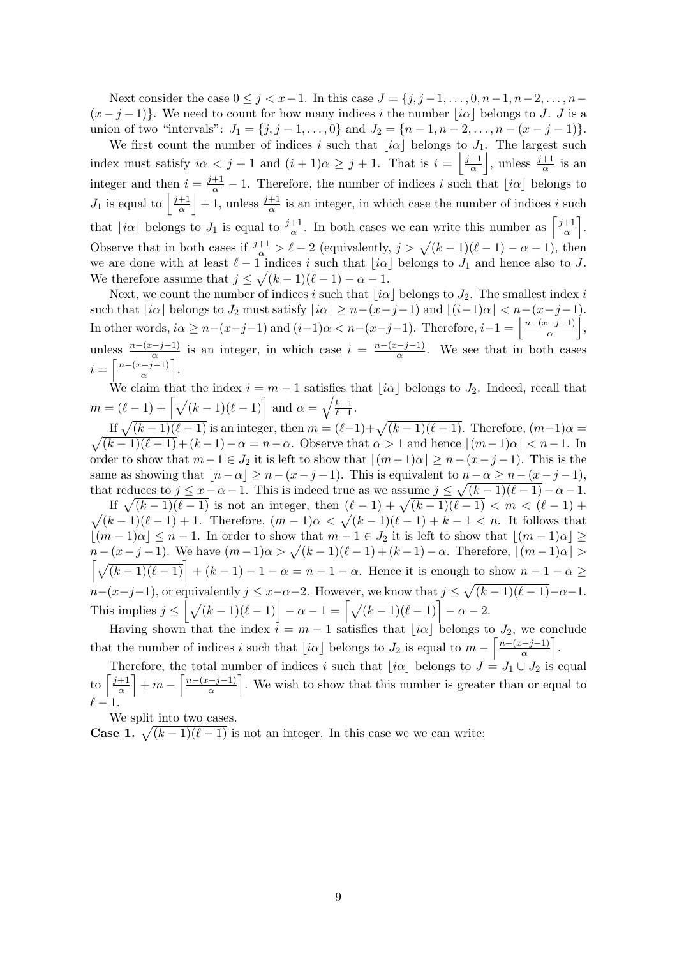Next consider the case  $0 \leq j < x-1$ . In this case  $J = \{j, j-1, \ldots, 0, n-1, n-2, \ldots, n-1\}$  $(x-j-1)$ . We need to count for how many indices i the number  $[i\alpha]$  belongs to J. J is a union of two "intervals":  $J_1 = \{j, j-1, ..., 0\}$  and  $J_2 = \{n-1, n-2, ..., n-(x-j-1)\}.$ 

We first count the number of indices i such that  $\lfloor i\alpha \rfloor$  belongs to J<sub>1</sub>. The largest such index must satisfy  $i\alpha < j + 1$  and  $(i + 1)\alpha \geq j + 1$ . That is  $i = \left\lfloor \frac{j+1}{\alpha} \right\rfloor$  $\frac{+1}{\alpha}$ , unless  $\frac{j+1}{\alpha}$  is an integer and then  $i = \frac{j+1}{\alpha} - 1$ . Therefore, the number of indices i such that  $\lfloor i\alpha \rfloor$  belongs to  $J_1$  is equal to  $\left| \frac{j+1}{\alpha} \right|$  $\frac{+1}{\alpha}$  + 1, unless  $\frac{j+1}{\alpha}$  is an integer, in which case the number of indices i such that  $[i\alpha]$  belongs to  $J_1$  is equal to  $\frac{j+1}{\alpha}$ . In both cases we can write this number as  $\left[\frac{j+1}{\alpha}\right]$  $\frac{+1}{\alpha}$ . Observe that in both cases if  $\frac{j+1}{\alpha} > \ell - 2$  (equivalently,  $j > \sqrt{(k-1)(\ell-1)} - \alpha - 1$ ), then we are done with at least  $\ell - 1$  indices i such that  $\lfloor i\alpha \rfloor$  belongs to  $J_1$  and hence also to J. We therefore assume that  $j \leq \sqrt{(k-1)(\ell - 1)} - \alpha - 1$ .

Next, we count the number of indices i such that  $|i\alpha|$  belongs to  $J_2$ . The smallest index i such that  $[i\alpha]$  belongs to  $J_2$  must satisfy  $[i\alpha] \ge n-(x-j-1)$  and  $[(i-1)\alpha] < n-(x-j-1)$ . In other words,  $i\alpha \geq n-(x-j-1)$  and  $(i-1)\alpha < n-(x-j-1)$ . Therefore,  $i-1 = \left\lfloor \frac{n-(x-j-1)}{\alpha} \right\rfloor$  $\frac{(-j-1)}{\alpha}\Big|,$ unless  $\frac{n-(x-j-1)}{\alpha}$  is an integer, in which case  $i = \frac{n-(x-j-1)}{\alpha}$  $\frac{(-9-1)}{\alpha}$ . We see that in both cases  $i = \left\lceil \frac{n-(x-j-1)}{\alpha} \right\rceil$  $\frac{-j-1)}{\alpha}$ .

We claim that the index  $i = m - 1$  satisfies that  $\lfloor i\alpha \rfloor$  belongs to  $J_2$ . Indeed, recall that  $m = (\ell - 1) + \left[ \sqrt{(k - 1)(\ell - 1)} \right]$  and  $\alpha = \sqrt{\frac{k-1}{\ell-1}}$  $\frac{k-1}{\ell-1}$ .

If  $\sqrt{(k-1)(\ell-1)}$  is an integer, then  $m = (\ell-1)+\sqrt{(k-1)(\ell-1)}$ . Therefore,  $(m-1)\alpha =$  $\sqrt{(k-1)(\ell-1)} + (k-1) - \alpha = n - \alpha$ . Observe that  $\alpha > 1$  and hence  $\lfloor (m-1)\alpha \rfloor < n-1$ . In order to show that  $m-1 \in J_2$  it is left to show that  $\lfloor (m-1)\alpha \rfloor \geq n-(x-j-1)$ . This is the same as showing that  $[n-\alpha] \geq n-(x-j-1)$ . This is equivalent to  $n-\alpha \geq n-(x-j-1)$ , that reduces to  $j \leq x - \alpha - 1$ . This is indeed true as we assume  $j \leq \sqrt{(k-1)(\ell-1)} - \alpha - 1$ . If  $\sqrt{(k-1)(\ell-1)}$  is not an integer, then  $(\ell-1) + \sqrt{\ell-1}$  $\sqrt{}$  $(k - 1)(\ell - 1) < m < (\ell - 1) +$  $(k-1)(\ell-1) + 1$ . Therefore,  $(m-1)\alpha < \sqrt{(k-1)(\ell-1)} + k - 1 < n$ . It follows that

 $\lfloor (m - 1)\alpha \rfloor \leq n - 1$ . In order to show that  $m - 1 \in J_2$  it is left to show that  $\lfloor (m - 1)\alpha \rfloor \geq$  $n-(x-j-1)$ . We have  $(m-1)\alpha > \sqrt{(k-1)(\ell-1)} + (k-1)-\alpha$ . Therefore,  $\lfloor (m-1)\alpha \rfloor >$  $\left[\sqrt{(k-1)(\ell-1)}\right] + (k-1) - 1 - \alpha = n-1-\alpha$ . Hence it is enough to show  $n-1-\alpha \geq$  $n-(x-j-1)$ , or equivalently  $j \leq x-\alpha-2$ . However, we know that  $j \leq \sqrt{(k-1)(\ell-1)}-\alpha-1$ . This implies  $j \leq \left| \sqrt{(k-1)(\ell-1)} \right| - \alpha - 1 = \left[ \sqrt{(k-1)(\ell-1)} \right] - \alpha - 2$ .

Having shown that the index  $i = m - 1$  satisfies that  $[i\alpha]$  belongs to  $J_2$ , we conclude that the number of indices i such that  $\lfloor i\alpha \rfloor$  belongs to  $J_2$  is equal to  $m - \left\lceil \frac{n - (x - j - 1)}{\alpha} \right\rceil$  $\frac{(-j-1)}{\alpha}$ .

Therefore, the total number of indices i such that  $[i\alpha]$  belongs to  $J = J_1 \cup J_2$  is equal to  $\frac{j+1}{\alpha}$  $\frac{+1}{\alpha}$  + m –  $\frac{n-(x-j-1)}{\alpha}$  $\left(\frac{-j-1}{\alpha}\right)$ . We wish to show that this number is greater than or equal to  $\ell - 1.$ 

We split into two cases.

**Case 1.**  $\sqrt{(k-1)(\ell-1)}$  is not an integer. In this case we we can write: